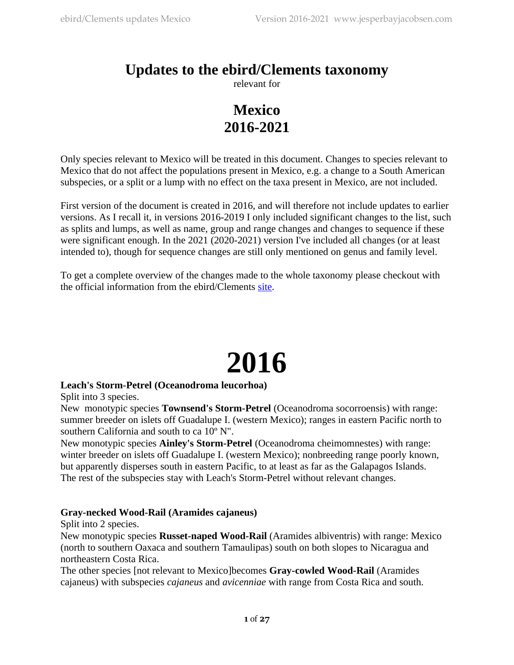## **Updates to the ebird/Clements taxonomy**

relevant for

## **Mexico 2016-2021**

Only species relevant to Mexico will be treated in this document. Changes to species relevant to Mexico that do not affect the populations present in Mexico, e.g. a change to a South American subspecies, or a split or a lump with no effect on the taxa present in Mexico, are not included.

First version of the document is created in 2016, and will therefore not include updates to earlier versions. As I recall it, in versions 2016-2019 I only included significant changes to the list, such as splits and lumps, as well as name, group and range changes and changes to sequence if these were significant enough. In the 2021 (2020-2021) version I've included all changes (or at least intended to), though for sequence changes are still only mentioned on genus and family level.

To get a complete overview of the changes made to the whole taxonomy please checkout with the official information from the ebird/Clements [site](http://www.birds.cornell.edu/clementschecklist/).

## **2016**

## **Leach's Storm-Petrel (Oceanodroma leucorhoa)**

Split into 3 species.

New monotypic species **Townsend's Storm-Petrel** (Oceanodroma socorroensis) with range: summer breeder on islets off Guadalupe I. (western Mexico); ranges in eastern Pacific north to southern California and south to ca 10º N".

New monotypic species **Ainley's Storm-Petrel** (Oceanodroma cheimomnestes) with range: winter breeder on islets off Guadalupe I. (western Mexico); nonbreeding range poorly known, but apparently disperses south in eastern Pacific, to at least as far as the Galapagos Islands. The rest of the subspecies stay with Leach's Storm-Petrel without relevant changes.

## **Gray-necked Wood-Rail (Aramides cajaneus)**

Split into 2 species.

New monotypic species **Russet-naped Wood-Rail** (Aramides albiventris) with range: Mexico (north to southern Oaxaca and southern Tamaulipas) south on both slopes to Nicaragua and northeastern Costa Rica.

The other species [not relevant to Mexico]becomes **Gray-cowled Wood-Rail** (Aramides cajaneus) with subspecies *cajaneus* and *avicenniae* with range from Costa Rica and south.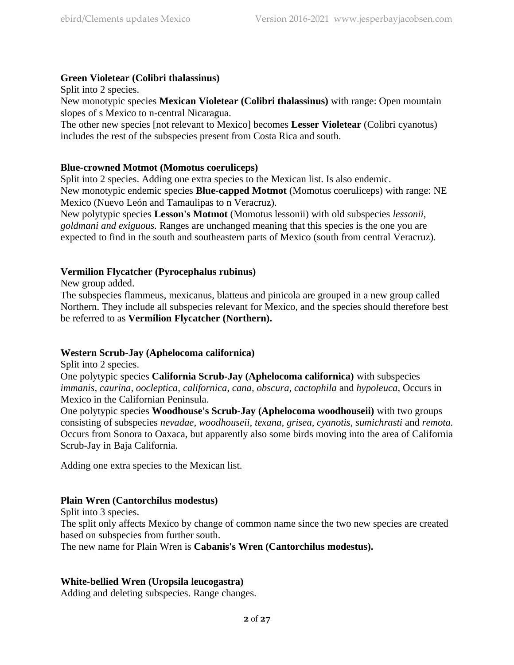## **Green Violetear (Colibri thalassinus)**

Split into 2 species.

New monotypic species **Mexican Violetear (Colibri thalassinus)** with range: Open mountain slopes of s Mexico to n-central Nicaragua.

The other new species [not relevant to Mexico] becomes **Lesser Violetear** (Colibri cyanotus) includes the rest of the subspecies present from Costa Rica and south.

## **Blue-crowned Motmot (Momotus coeruliceps)**

Split into 2 species. Adding one extra species to the Mexican list. Is also endemic. New monotypic endemic species **Blue-capped Motmot** (Momotus coeruliceps) with range: NE Mexico (Nuevo León and Tamaulipas to n Veracruz).

New polytypic species **Lesson's Motmot** (Momotus lessonii) with old subspecies *lessonii, goldmani and exiguous.* Ranges are unchanged meaning that this species is the one you are expected to find in the south and southeastern parts of Mexico (south from central Veracruz).

## **Vermilion Flycatcher (Pyrocephalus rubinus)**

New group added.

The subspecies flammeus, mexicanus, blatteus and pinicola are grouped in a new group called Northern. They include all subspecies relevant for Mexico, and the species should therefore best be referred to as **Vermilion Flycatcher (Northern).**

## **Western Scrub-Jay (Aphelocoma californica)**

Split into 2 species.

One polytypic species **California Scrub-Jay (Aphelocoma californica)** with subspecies *immanis, caurina, oocleptica, californica, cana, obscura, cactophila* and *hypoleuca*, Occurs in Mexico in the Californian Peninsula.

One polytypic species **Woodhouse's Scrub-Jay (Aphelocoma woodhouseii)** with two groups consisting of subspecies *nevadae, woodhouseii, texana, grisea, cyanotis, sumichrasti* and *remota.* Occurs from Sonora to Oaxaca, but apparently also some birds moving into the area of California Scrub-Jay in Baja California.

Adding one extra species to the Mexican list.

## **Plain Wren (Cantorchilus modestus)**

Split into 3 species.

The split only affects Mexico by change of common name since the two new species are created based on subspecies from further south.

The new name for Plain Wren is **Cabanis's Wren (Cantorchilus modestus).**

## **White-bellied Wren (Uropsila leucogastra)**

Adding and deleting subspecies. Range changes.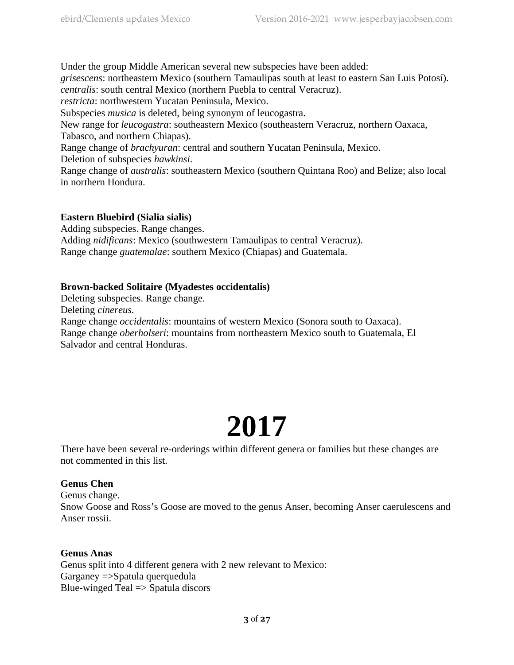Under the group Middle American several new subspecies have been added: *grisescens*: northeastern Mexico (southern Tamaulipas south at least to eastern San Luis Potosí). *centralis*: south central Mexico (northern Puebla to central Veracruz). *restricta*: northwestern Yucatan Peninsula, Mexico. Subspecies *musica* is deleted, being synonym of leucogastra.

New range for *leucogastra*: southeastern Mexico (southeastern Veracruz, northern Oaxaca, Tabasco, and northern Chiapas).

Range change of *brachyuran*: central and southern Yucatan Peninsula, Mexico. Deletion of subspecies *hawkinsi*.

Range change of *australis*: southeastern Mexico (southern Quintana Roo) and Belize; also local in northern Hondura.

## **Eastern Bluebird (Sialia sialis)**

Adding subspecies. Range changes.

Adding *nidificans*: Mexico (southwestern Tamaulipas to central Veracruz). Range change *guatemalae*: southern Mexico (Chiapas) and Guatemala.

## **Brown-backed Solitaire (Myadestes occidentalis)**

Deleting subspecies. Range change. Deleting *cinereus.* Range change *occidentalis*: mountains of western Mexico (Sonora south to Oaxaca). Range change *oberholseri*: mountains from northeastern Mexico south to Guatemala, El Salvador and central Honduras.

# **2017**

There have been several re-orderings within different genera or families but these changes are not commented in this list.

## **Genus Chen**

Genus change. Snow Goose and Ross's Goose are moved to the genus Anser, becoming Anser caerulescens and Anser rossii.

## **Genus Anas**

Genus split into 4 different genera with 2 new relevant to Mexico: Garganey =>Spatula querquedula Blue-winged Teal  $\Rightarrow$  Spatula discors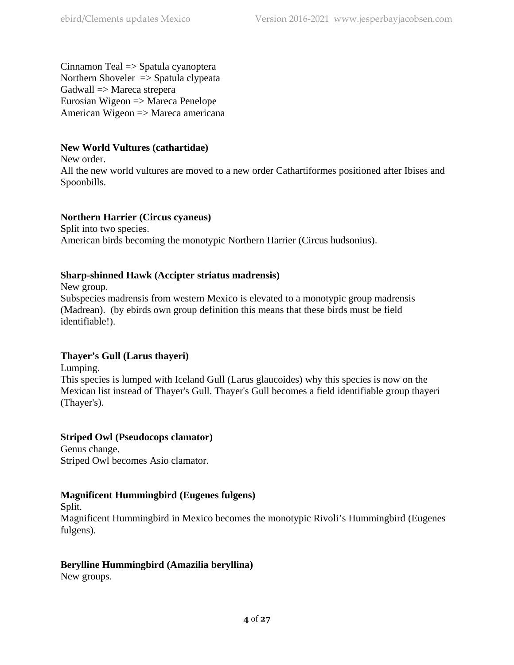Cinnamon Teal => Spatula cyanoptera Northern Shoveler => Spatula clypeata Gadwall => Mareca strepera Eurosian Wigeon => Mareca Penelope American Wigeon => Mareca americana

## **New World Vultures (cathartidae)**

New order.

All the new world vultures are moved to a new order Cathartiformes positioned after Ibises and Spoonbills.

## **Northern Harrier (Circus cyaneus)**

Split into two species. American birds becoming the monotypic Northern Harrier (Circus hudsonius).

## **Sharp-shinned Hawk (Accipter striatus madrensis)**

New group.

Subspecies madrensis from western Mexico is elevated to a monotypic group madrensis (Madrean). (by ebirds own group definition this means that these birds must be field identifiable!).

## **Thayer's Gull (Larus thayeri)**

Lumping.

This species is lumped with Iceland Gull (Larus glaucoides) why this species is now on the Mexican list instead of Thayer's Gull. Thayer's Gull becomes a field identifiable group thayeri (Thayer's).

**Striped Owl (Pseudocops clamator)** Genus change.

Striped Owl becomes Asio clamator.

## **Magnificent Hummingbird (Eugenes fulgens)**

Split.

Magnificent Hummingbird in Mexico becomes the monotypic Rivoli's Hummingbird (Eugenes fulgens).

## **Berylline Hummingbird (Amazilia beryllina)**

New groups.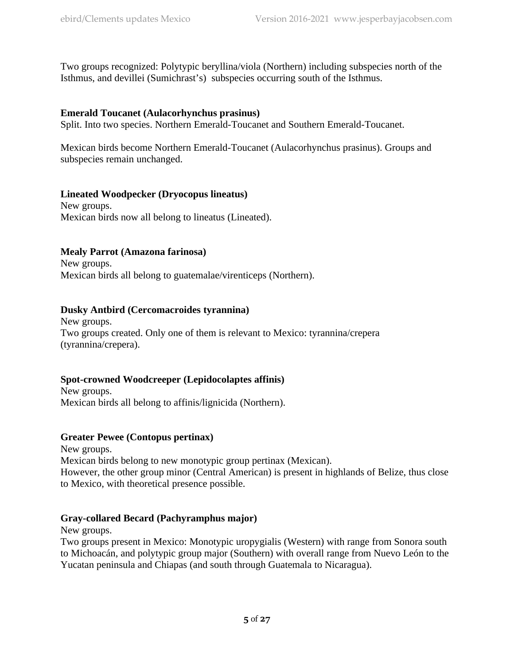Two groups recognized: Polytypic beryllina/viola (Northern) including subspecies north of the Isthmus, and devillei (Sumichrast's) subspecies occurring south of the Isthmus.

## **Emerald Toucanet (Aulacorhynchus prasinus)**

Split. Into two species. Northern Emerald-Toucanet and Southern Emerald-Toucanet.

Mexican birds become Northern Emerald-Toucanet (Aulacorhynchus prasinus). Groups and subspecies remain unchanged.

## **Lineated Woodpecker (Dryocopus lineatus)**

New groups. Mexican birds now all belong to lineatus (Lineated).

## **Mealy Parrot (Amazona farinosa)**

New groups. Mexican birds all belong to guatemalae/virenticeps (Northern).

## **Dusky Antbird (Cercomacroides tyrannina)**

New groups. Two groups created. Only one of them is relevant to Mexico: tyrannina/crepera (tyrannina/crepera).

## **Spot-crowned Woodcreeper (Lepidocolaptes affinis)**

New groups. Mexican birds all belong to affinis/lignicida (Northern).

## **Greater Pewee (Contopus pertinax)**

New groups. Mexican birds belong to new monotypic group pertinax (Mexican). However, the other group minor (Central American) is present in highlands of Belize, thus close to Mexico, with theoretical presence possible.

## **Gray-collared Becard (Pachyramphus major)**

New groups.

Two groups present in Mexico: Monotypic uropygialis (Western) with range from Sonora south to Michoacán, and polytypic group major (Southern) with overall range from Nuevo León to the Yucatan peninsula and Chiapas (and south through Guatemala to Nicaragua).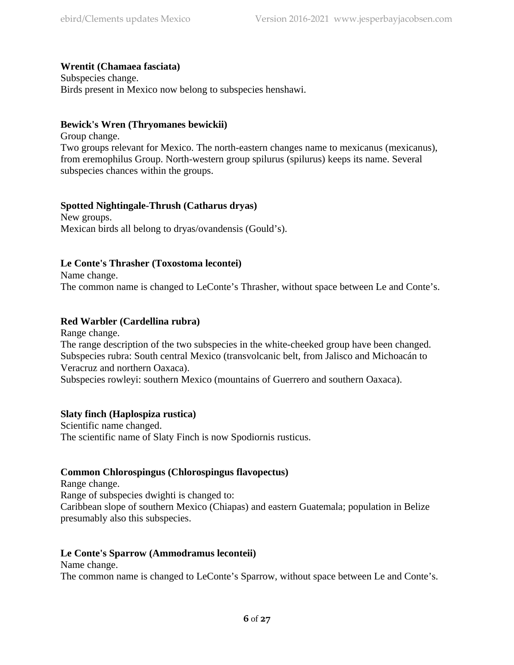## **Wrentit (Chamaea fasciata)**

Subspecies change. Birds present in Mexico now belong to subspecies henshawi.

#### **Bewick's Wren (Thryomanes bewickii)**

Group change. Two groups relevant for Mexico. The north-eastern changes name to mexicanus (mexicanus), from eremophilus Group. North-western group spilurus (spilurus) keeps its name. Several subspecies chances within the groups.

## **Spotted Nightingale-Thrush (Catharus dryas)**

New groups. Mexican birds all belong to dryas/ovandensis (Gould's).

## **Le Conte's Thrasher (Toxostoma lecontei)**

Name change. The common name is changed to LeConte's Thrasher, without space between Le and Conte's.

## **Red Warbler (Cardellina rubra)**

Range change. The range description of the two subspecies in the white-cheeked group have been changed. Subspecies rubra: South central Mexico (transvolcanic belt, from Jalisco and Michoacán to Veracruz and northern Oaxaca).

Subspecies rowleyi: southern Mexico (mountains of Guerrero and southern Oaxaca).

## **Slaty finch (Haplospiza rustica)**

Scientific name changed. The scientific name of Slaty Finch is now Spodiornis rusticus.

## **Common Chlorospingus (Chlorospingus flavopectus)**

Range change. Range of subspecies dwighti is changed to: Caribbean slope of southern Mexico (Chiapas) and eastern Guatemala; population in Belize presumably also this subspecies.

## **Le Conte's Sparrow (Ammodramus leconteii)**

Name change.

The common name is changed to LeConte's Sparrow, without space between Le and Conte's.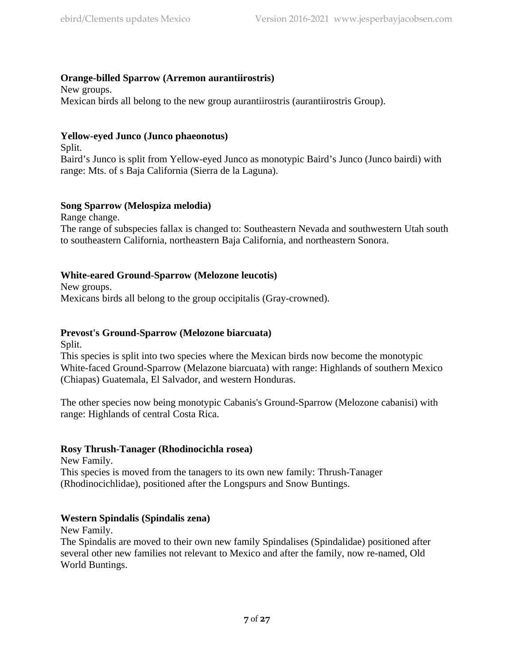## **Orange-billed Sparrow (Arremon aurantiirostris)**

New groups. Mexican birds all belong to the new group aurantiirostris (aurantiirostris Group).

## **Yellow-eyed Junco (Junco phaeonotus)**

Split.

Baird's Junco is split from Yellow-eyed Junco as monotypic Baird's Junco (Junco bairdi) with range: Mts. of s Baja California (Sierra de la Laguna).

## **Song Sparrow (Melospiza melodia)**

Range change. The range of subspecies fallax is changed to: Southeastern Nevada and southwestern Utah south to southeastern California, northeastern Baja California, and northeastern Sonora.

## **White-eared Ground-Sparrow (Melozone leucotis)**

New groups. Mexicans birds all belong to the group occipitalis (Gray-crowned).

## **Prevost's Ground-Sparrow (Melozone biarcuata)**

Split.

This species is split into two species where the Mexican birds now become the monotypic White-faced Ground-Sparrow (Melazone biarcuata) with range: Highlands of southern Mexico (Chiapas) Guatemala, El Salvador, and western Honduras.

The other species now being monotypic Cabanis's Ground-Sparrow (Melozone cabanisi) with range: Highlands of central Costa Rica.

## **Rosy Thrush-Tanager (Rhodinocichla rosea)**

New Family.

This species is moved from the tanagers to its own new family: Thrush-Tanager (Rhodinocichlidae), positioned after the Longspurs and Snow Buntings.

## **Western Spindalis (Spindalis zena)**

New Family.

The Spindalis are moved to their own new family Spindalises (Spindalidae) positioned after several other new families not relevant to Mexico and after the family, now re-named, Old World Buntings.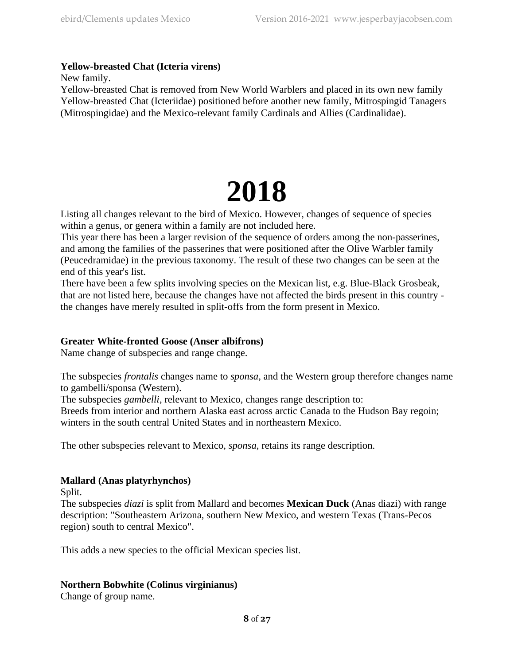## **Yellow-breasted Chat (Icteria virens)**

New family.

Yellow-breasted Chat is removed from New World Warblers and placed in its own new family Yellow-breasted Chat (Icteriidae) positioned before another new family, Mitrospingid Tanagers (Mitrospingidae) and the Mexico-relevant family Cardinals and Allies (Cardinalidae).

# **2018**

Listing all changes relevant to the bird of Mexico. However, changes of sequence of species within a genus, or genera within a family are not included here.

This year there has been a larger revision of the sequence of orders among the non-passerines, and among the families of the passerines that were positioned after the Olive Warbler family (Peucedramidae) in the previous taxonomy. The result of these two changes can be seen at the end of this year's list.

There have been a few splits involving species on the Mexican list, e.g. Blue-Black Grosbeak, that are not listed here, because the changes have not affected the birds present in this country the changes have merely resulted in split-offs from the form present in Mexico.

## **Greater White-fronted Goose (Anser albifrons)**

Name change of subspecies and range change.

The subspecies *frontalis* changes name to *sponsa*, and the Western group therefore changes name to gambelli/sponsa (Western).

The subspecies *gambelli*, relevant to Mexico, changes range description to:

Breeds from interior and northern Alaska east across arctic Canada to the Hudson Bay regoin; winters in the south central United States and in northeastern Mexico.

The other subspecies relevant to Mexico, *sponsa*, retains its range description.

## **Mallard (Anas platyrhynchos)**

Split.

The subspecies *diazi* is split from Mallard and becomes **Mexican Duck** (Anas diazi) with range description: "Southeastern Arizona, southern New Mexico, and western Texas (Trans-Pecos region) south to central Mexico".

This adds a new species to the official Mexican species list.

## **Northern Bobwhite (Colinus virginianus)**

Change of group name.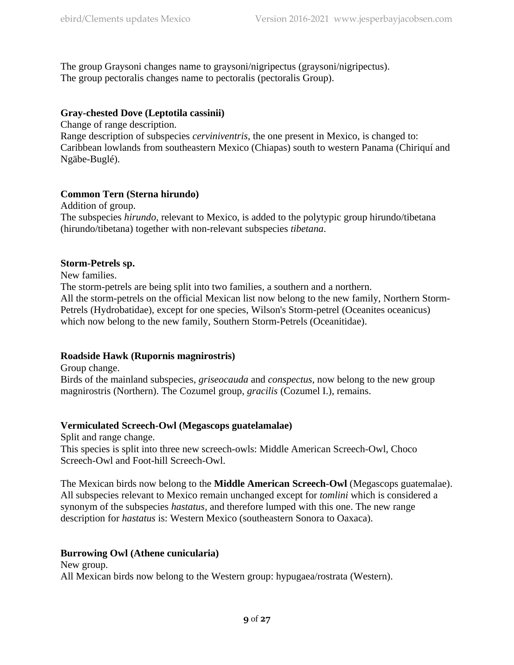The group Graysoni changes name to graysoni/nigripectus (graysoni/nigripectus). The group pectoralis changes name to pectoralis (pectoralis Group).

## **Gray-chested Dove (Leptotila cassinii)**

Change of range description.

Range description of subspecies *cerviniventris*, the one present in Mexico, is changed to: Caribbean lowlands from southeastern Mexico (Chiapas) south to western Panama (Chiriquí and Ngäbe-Buglé).

## **Common Tern (Sterna hirundo)**

Addition of group. The subspecies *hirundo*, relevant to Mexico, is added to the polytypic group hirundo/tibetana (hirundo/tibetana) together with non-relevant subspecies *tibetana*.

## **Storm-Petrels sp.**

New families.

The storm-petrels are being split into two families, a southern and a northern. All the storm-petrels on the official Mexican list now belong to the new family, Northern Storm-Petrels (Hydrobatidae), except for one species, Wilson's Storm-petrel (Oceanites oceanicus) which now belong to the new family, Southern Storm-Petrels (Oceanitidae).

## **Roadside Hawk (Rupornis magnirostris)**

Group change.

Birds of the mainland subspecies, *griseocauda* and *conspectus*, now belong to the new group magnirostris (Northern). The Cozumel group, *gracilis* (Cozumel I.), remains.

## **Vermiculated Screech-Owl (Megascops guatelamalae)**

Split and range change. This species is split into three new screech-owls: Middle American Screech-Owl, Choco Screech-Owl and Foot-hill Screech-Owl.

The Mexican birds now belong to the **Middle American Screech-Owl** (Megascops guatemalae). All subspecies relevant to Mexico remain unchanged except for *tomlini* which is considered a synonym of the subspecies *hastatus*, and therefore lumped with this one. The new range description for *hastatus* is: Western Mexico (southeastern Sonora to Oaxaca).

## **Burrowing Owl (Athene cunicularia)**

New group. All Mexican birds now belong to the Western group: hypugaea/rostrata (Western).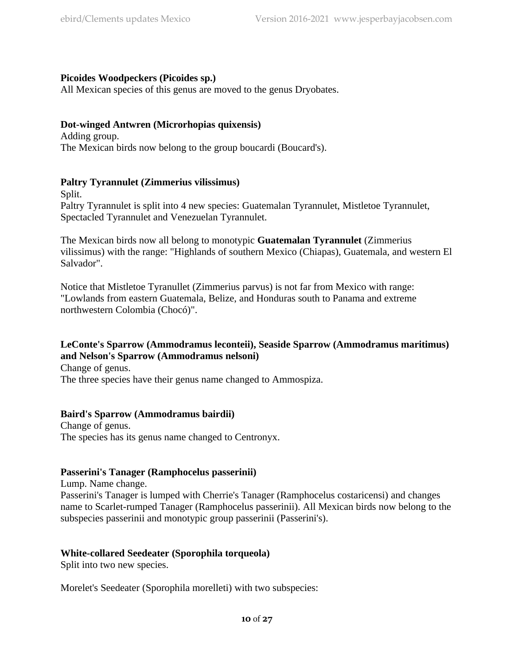## **Picoides Woodpeckers (Picoides sp.)**

All Mexican species of this genus are moved to the genus Dryobates.

## **Dot-winged Antwren (Microrhopias quixensis)**

Adding group. The Mexican birds now belong to the group boucardi (Boucard's).

## **Paltry Tyrannulet (Zimmerius vilissimus)**

Split.

Paltry Tyrannulet is split into 4 new species: Guatemalan Tyrannulet, Mistletoe Tyrannulet, Spectacled Tyrannulet and Venezuelan Tyrannulet.

The Mexican birds now all belong to monotypic **Guatemalan Tyrannulet** (Zimmerius vilissimus) with the range: "Highlands of southern Mexico (Chiapas), Guatemala, and western El Salvador".

Notice that Mistletoe Tyranullet (Zimmerius parvus) is not far from Mexico with range: "Lowlands from eastern Guatemala, Belize, and Honduras south to Panama and extreme northwestern Colombia (Chocó)".

## **LeConte's Sparrow (Ammodramus leconteii), Seaside Sparrow (Ammodramus maritimus) and Nelson's Sparrow (Ammodramus nelsoni)**

Change of genus.

The three species have their genus name changed to Ammospiza.

## **Baird's Sparrow (Ammodramus bairdii)**

Change of genus. The species has its genus name changed to Centronyx.

#### **Passerini's Tanager (Ramphocelus passerinii)**

Lump. Name change.

Passerini's Tanager is lumped with Cherrie's Tanager (Ramphocelus costaricensi) and changes name to Scarlet-rumped Tanager (Ramphocelus passerinii). All Mexican birds now belong to the subspecies passerinii and monotypic group passerinii (Passerini's).

## **White-collared Seedeater (Sporophila torqueola)**

Split into two new species.

Morelet's Seedeater (Sporophila morelleti) with two subspecies: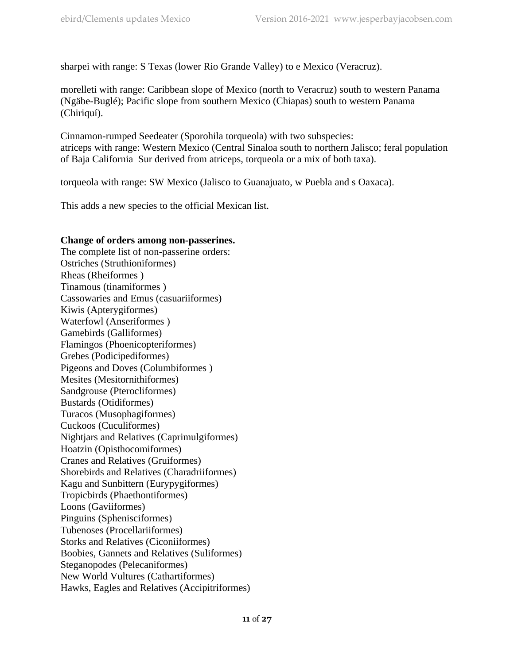sharpei with range: S Texas (lower Rio Grande Valley) to e Mexico (Veracruz).

morelleti with range: Caribbean slope of Mexico (north to Veracruz) south to western Panama (Ngäbe-Buglé); Pacific slope from southern Mexico (Chiapas) south to western Panama (Chiriquí).

Cinnamon-rumped Seedeater (Sporohila torqueola) with two subspecies: atriceps with range: Western Mexico (Central Sinaloa south to northern Jalisco; feral population of Baja California Sur derived from atriceps, torqueola or a mix of both taxa).

torqueola with range: SW Mexico (Jalisco to Guanajuato, w Puebla and s Oaxaca).

This adds a new species to the official Mexican list.

#### **Change of orders among non-passerines.**

The complete list of non-passerine orders: Ostriches (Struthioniformes) Rheas (Rheiformes ) Tinamous (tinamiformes ) Cassowaries and Emus (casuariiformes) Kiwis (Apterygiformes) Waterfowl (Anseriformes ) Gamebirds (Galliformes) Flamingos (Phoenicopteriformes) Grebes (Podicipediformes) Pigeons and Doves (Columbiformes ) Mesites (Mesitornithiformes) Sandgrouse (Pterocliformes) Bustards (Otidiformes) Turacos (Musophagiformes) Cuckoos (Cuculiformes) Nightjars and Relatives (Caprimulgiformes) Hoatzin (Opisthocomiformes) Cranes and Relatives (Gruiformes) Shorebirds and Relatives (Charadriiformes) Kagu and Sunbittern (Eurypygiformes) Tropicbirds (Phaethontiformes) Loons (Gaviiformes) Pinguins (Sphenisciformes) Tubenoses (Procellariiformes) Storks and Relatives (Ciconiiformes) Boobies, Gannets and Relatives (Suliformes) Steganopodes (Pelecaniformes) New World Vultures (Cathartiformes) Hawks, Eagles and Relatives (Accipitriformes)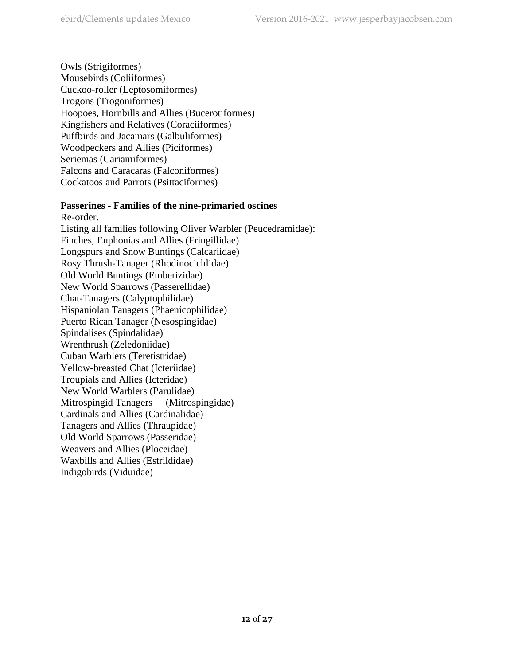Owls (Strigiformes) Mousebirds (Coliiformes) Cuckoo-roller (Leptosomiformes) Trogons (Trogoniformes) Hoopoes, Hornbills and Allies (Bucerotiformes) Kingfishers and Relatives (Coraciiformes) Puffbirds and Jacamars (Galbuliformes) Woodpeckers and Allies (Piciformes) Seriemas (Cariamiformes) Falcons and Caracaras (Falconiformes) Cockatoos and Parrots (Psittaciformes)

## **Passerines - Families of the nine-primaried oscines**

Re-order. Listing all families following Oliver Warbler (Peucedramidae): Finches, Euphonias and Allies (Fringillidae) Longspurs and Snow Buntings (Calcariidae) Rosy Thrush-Tanager (Rhodinocichlidae) Old World Buntings (Emberizidae) New World Sparrows (Passerellidae) Chat-Tanagers (Calyptophilidae) Hispaniolan Tanagers (Phaenicophilidae) Puerto Rican Tanager (Nesospingidae) Spindalises (Spindalidae) Wrenthrush (Zeledoniidae) Cuban Warblers (Teretistridae) Yellow-breasted Chat (Icteriidae) Troupials and Allies (Icteridae) New World Warblers (Parulidae) Mitrospingid Tanagers (Mitrospingidae) Cardinals and Allies (Cardinalidae) Tanagers and Allies (Thraupidae) Old World Sparrows (Passeridae) Weavers and Allies (Ploceidae) Waxbills and Allies (Estrildidae) Indigobirds (Viduidae)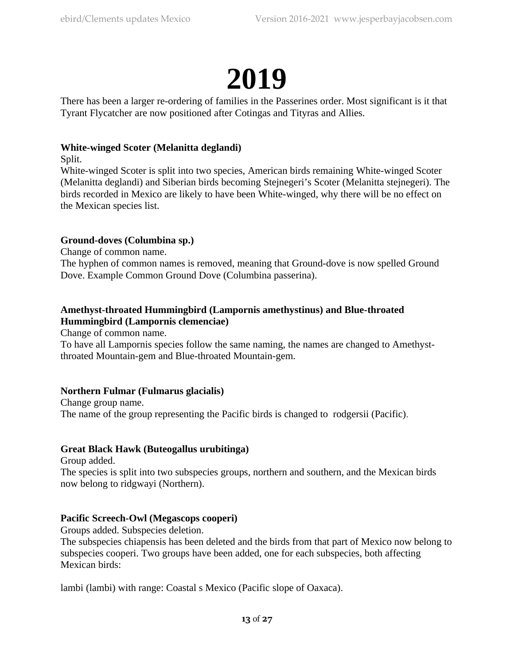## **2019**

There has been a larger re-ordering of families in the Passerines order. Most significant is it that Tyrant Flycatcher are now positioned after Cotingas and Tityras and Allies.

## **White-winged Scoter (Melanitta deglandi)**

Split.

White-winged Scoter is split into two species, American birds remaining White-winged Scoter (Melanitta deglandi) and Siberian birds becoming Stejnegeri's Scoter (Melanitta stejnegeri). The birds recorded in Mexico are likely to have been White-winged, why there will be no effect on the Mexican species list.

## **Ground-doves (Columbina sp.)**

Change of common name.

The hyphen of common names is removed, meaning that Ground-dove is now spelled Ground Dove. Example Common Ground Dove (Columbina passerina).

## **Amethyst-throated Hummingbird (Lampornis amethystinus) and Blue-throated Hummingbird (Lampornis clemenciae)**

Change of common name.

To have all Lampornis species follow the same naming, the names are changed to Amethystthroated Mountain-gem and Blue-throated Mountain-gem.

## **Northern Fulmar (Fulmarus glacialis)**

Change group name. The name of the group representing the Pacific birds is changed to rodgersii (Pacific).

## **Great Black Hawk (Buteogallus urubitinga)**

Group added.

The species is split into two subspecies groups, northern and southern, and the Mexican birds now belong to ridgwayi (Northern).

## **Pacific Screech-Owl (Megascops cooperi)**

Groups added. Subspecies deletion.

The subspecies chiapensis has been deleted and the birds from that part of Mexico now belong to subspecies cooperi. Two groups have been added, one for each subspecies, both affecting Mexican birds:

lambi (lambi) with range: Coastal s Mexico (Pacific slope of Oaxaca).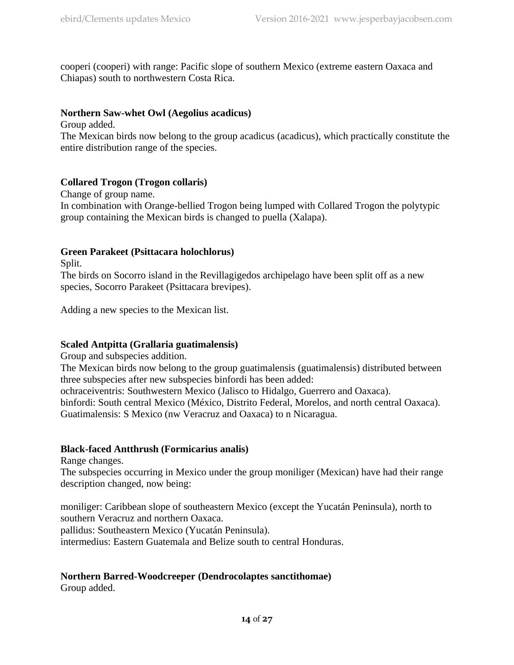cooperi (cooperi) with range: Pacific slope of southern Mexico (extreme eastern Oaxaca and Chiapas) south to northwestern Costa Rica.

## **Northern Saw-whet Owl (Aegolius acadicus)**

Group added.

The Mexican birds now belong to the group acadicus (acadicus), which practically constitute the entire distribution range of the species.

## **Collared Trogon (Trogon collaris)**

Change of group name. In combination with Orange-bellied Trogon being lumped with Collared Trogon the polytypic group containing the Mexican birds is changed to puella (Xalapa).

## **Green Parakeet (Psittacara holochlorus)**

Split.

The birds on Socorro island in the Revillagigedos archipelago have been split off as a new species, Socorro Parakeet (Psittacara brevipes).

Adding a new species to the Mexican list.

## **Scaled Antpitta (Grallaria guatimalensis)**

Group and subspecies addition.

The Mexican birds now belong to the group guatimalensis (guatimalensis) distributed between three subspecies after new subspecies binfordi has been added:

ochraceiventris: Southwestern Mexico (Jalisco to Hidalgo, Guerrero and Oaxaca).

binfordi: South central Mexico (México, Distrito Federal, Morelos, and north central Oaxaca). Guatimalensis: S Mexico (nw Veracruz and Oaxaca) to n Nicaragua.

## **Black-faced Antthrush (Formicarius analis)**

Range changes.

The subspecies occurring in Mexico under the group moniliger (Mexican) have had their range description changed, now being:

moniliger: Caribbean slope of southeastern Mexico (except the Yucatán Peninsula), north to southern Veracruz and northern Oaxaca. pallidus: Southeastern Mexico (Yucatán Peninsula). intermedius: Eastern Guatemala and Belize south to central Honduras.

## **Northern Barred-Woodcreeper (Dendrocolaptes sanctithomae)**

Group added.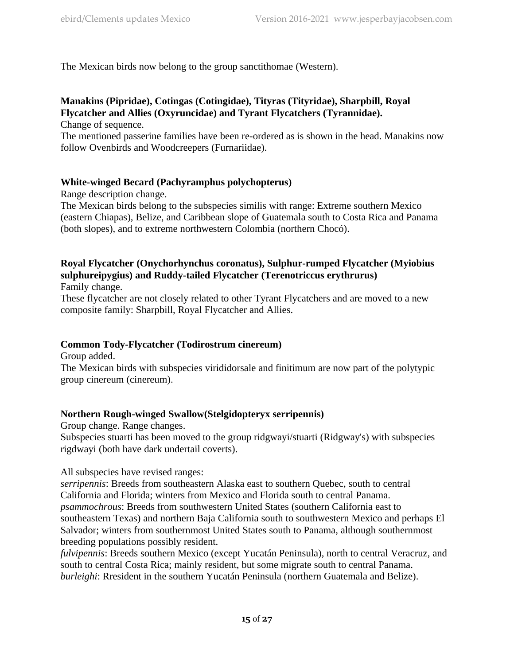The Mexican birds now belong to the group sanctithomae (Western).

## **Manakins (Pipridae), Cotingas (Cotingidae), Tityras (Tityridae), Sharpbill, Royal Flycatcher and Allies (Oxyruncidae) and Tyrant Flycatchers (Tyrannidae).**

Change of sequence.

The mentioned passerine families have been re-ordered as is shown in the head. Manakins now follow Ovenbirds and Woodcreepers (Furnariidae).

## **White-winged Becard (Pachyramphus polychopterus)**

Range description change.

The Mexican birds belong to the subspecies similis with range: Extreme southern Mexico (eastern Chiapas), Belize, and Caribbean slope of Guatemala south to Costa Rica and Panama (both slopes), and to extreme northwestern Colombia (northern Chocó).

## **Royal Flycatcher (Onychorhynchus coronatus), Sulphur-rumped Flycatcher (Myiobius sulphureipygius) and Ruddy-tailed Flycatcher (Terenotriccus erythrurus)**

Family change.

These flycatcher are not closely related to other Tyrant Flycatchers and are moved to a new composite family: Sharpbill, Royal Flycatcher and Allies.

## **Common Tody-Flycatcher (Todirostrum cinereum)**

Group added.

The Mexican birds with subspecies virididorsale and finitimum are now part of the polytypic group cinereum (cinereum).

## **Northern Rough-winged Swallow(Stelgidopteryx serripennis)**

Group change. Range changes.

Subspecies stuarti has been moved to the group ridgwayi/stuarti (Ridgway's) with subspecies rigdwayi (both have dark undertail coverts).

All subspecies have revised ranges:

*serripennis*: Breeds from southeastern Alaska east to southern Quebec, south to central California and Florida; winters from Mexico and Florida south to central Panama. *psammochrous*: Breeds from southwestern United States (southern California east to southeastern Texas) and northern Baja California south to southwestern Mexico and perhaps El Salvador; winters from southernmost United States south to Panama, although southernmost breeding populations possibly resident.

*fulvipennis*: Breeds southern Mexico (except Yucatán Peninsula), north to central Veracruz, and south to central Costa Rica; mainly resident, but some migrate south to central Panama. *burleighi*: Rresident in the southern Yucatán Peninsula (northern Guatemala and Belize).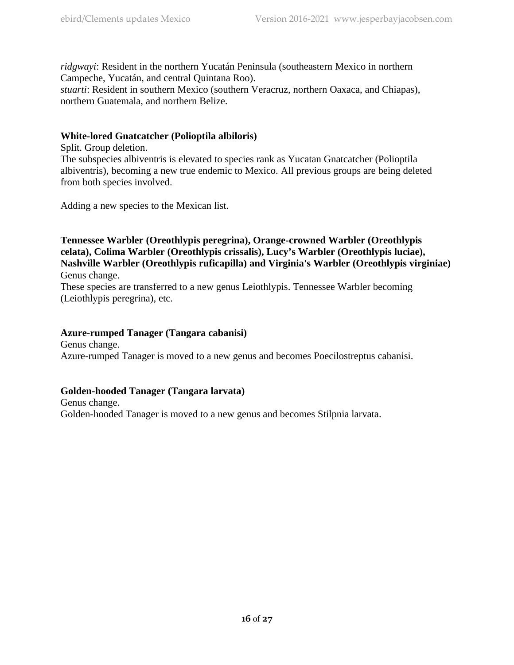*ridgwayi*: Resident in the northern Yucatán Peninsula (southeastern Mexico in northern Campeche, Yucatán, and central Quintana Roo).

*stuarti*: Resident in southern Mexico (southern Veracruz, northern Oaxaca, and Chiapas), northern Guatemala, and northern Belize.

## **White-lored Gnatcatcher (Polioptila albiloris)**

Split. Group deletion.

The subspecies albiventris is elevated to species rank as Yucatan Gnatcatcher (Polioptila albiventris), becoming a new true endemic to Mexico. All previous groups are being deleted from both species involved.

Adding a new species to the Mexican list.

## **Tennessee Warbler (Oreothlypis peregrina), Orange-crowned Warbler (Oreothlypis celata), Colima Warbler (Oreothlypis crissalis), Lucy's Warbler (Oreothlypis luciae), Nashville Warbler (Oreothlypis ruficapilla) and Virginia's Warbler (Oreothlypis virginiae)** Genus change.

These species are transferred to a new genus Leiothlypis. Tennessee Warbler becoming (Leiothlypis peregrina), etc.

## **Azure-rumped Tanager (Tangara cabanisi)**

Genus change. Azure-rumped Tanager is moved to a new genus and becomes Poecilostreptus cabanisi.

## **Golden-hooded Tanager (Tangara larvata)**

Genus change. Golden-hooded Tanager is moved to a new genus and becomes Stilpnia larvata.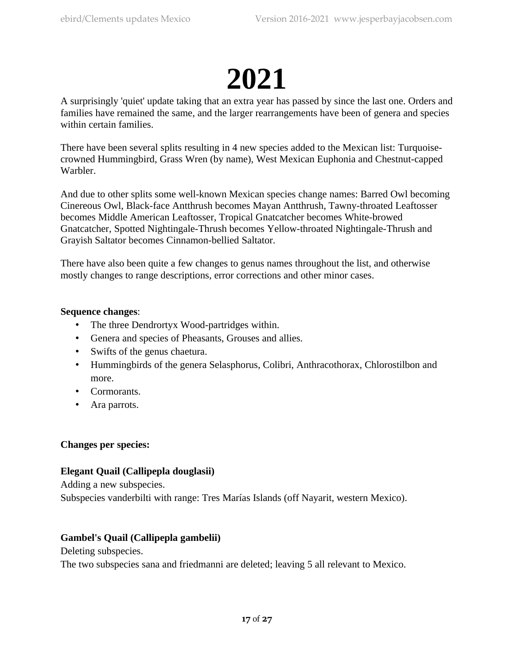## **2021**

A surprisingly 'quiet' update taking that an extra year has passed by since the last one. Orders and families have remained the same, and the larger rearrangements have been of genera and species within certain families.

There have been several splits resulting in 4 new species added to the Mexican list: Turquoisecrowned Hummingbird, Grass Wren (by name), West Mexican Euphonia and Chestnut-capped Warbler.

And due to other splits some well-known Mexican species change names: Barred Owl becoming Cinereous Owl, Black-face Antthrush becomes Mayan Antthrush, Tawny-throated Leaftosser becomes Middle American Leaftosser, Tropical Gnatcatcher becomes White-browed Gnatcatcher, Spotted Nightingale-Thrush becomes Yellow-throated Nightingale-Thrush and Grayish Saltator becomes Cinnamon-bellied Saltator.

There have also been quite a few changes to genus names throughout the list, and otherwise mostly changes to range descriptions, error corrections and other minor cases.

## **Sequence changes**:

- The three Dendrortyx Wood-partridges within.
- Genera and species of Pheasants, Grouses and allies.
- Swifts of the genus chaetura.
- Hummingbirds of the genera Selasphorus, Colibri, Anthracothorax, Chlorostilbon and more.
- Cormorants.
- Ara parrots.

## **Changes per species:**

## **Elegant Quail (Callipepla douglasii)**

Adding a new subspecies.

Subspecies vanderbilti with range: Tres Marías Islands (off Nayarit, western Mexico).

## **Gambel's Quail (Callipepla gambelii)**

Deleting subspecies.

The two subspecies sana and friedmanni are deleted; leaving 5 all relevant to Mexico.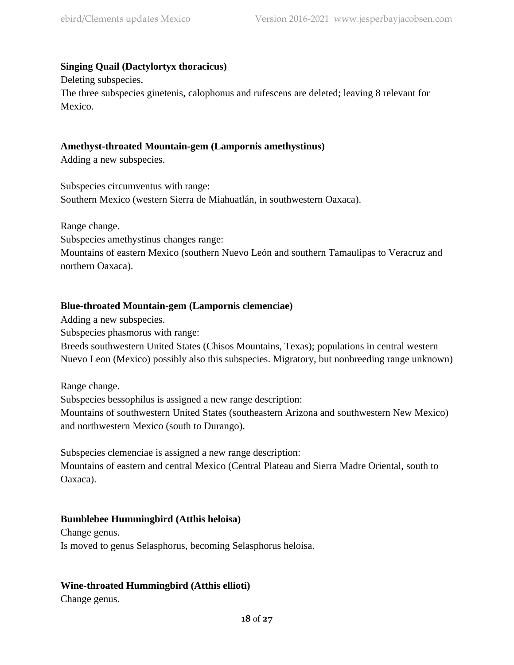## **Singing Quail (Dactylortyx thoracicus)**

Deleting subspecies. The three subspecies ginetenis, calophonus and rufescens are deleted; leaving 8 relevant for Mexico.

## **Amethyst-throated Mountain-gem (Lampornis amethystinus)**

Adding a new subspecies.

Subspecies circumventus with range: Southern Mexico (western Sierra de Miahuatlán, in southwestern Oaxaca).

Range change.

Subspecies amethystinus changes range:

Mountains of eastern Mexico (southern Nuevo León and southern Tamaulipas to Veracruz and northern Oaxaca).

## **Blue-throated Mountain-gem (Lampornis clemenciae)**

Adding a new subspecies.

Subspecies phasmorus with range:

Breeds southwestern United States (Chisos Mountains, Texas); populations in central western Nuevo Leon (Mexico) possibly also this subspecies. Migratory, but nonbreeding range unknown)

Range change. Subspecies bessophilus is assigned a new range description: Mountains of southwestern United States (southeastern Arizona and southwestern New Mexico) and northwestern Mexico (south to Durango).

Subspecies clemenciae is assigned a new range description: Mountains of eastern and central Mexico (Central Plateau and Sierra Madre Oriental, south to Oaxaca).

## **Bumblebee Hummingbird (Atthis heloisa)**

Change genus. Is moved to genus Selasphorus, becoming Selasphorus heloisa.

## **Wine-throated Hummingbird (Atthis ellioti)**

Change genus.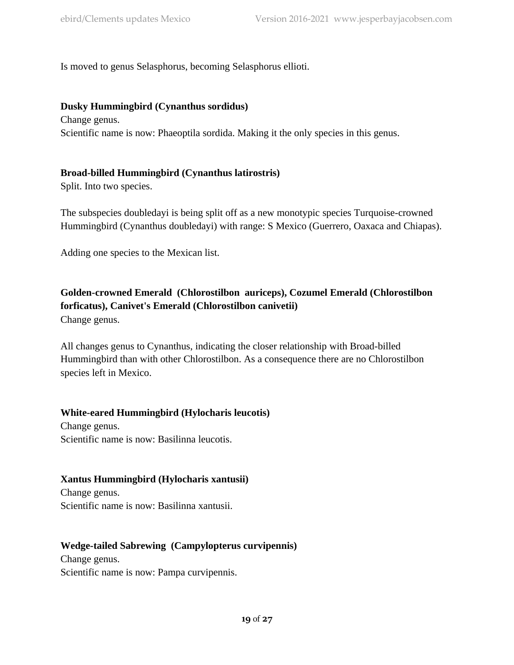Is moved to genus Selasphorus, becoming Selasphorus ellioti.

## **Dusky Hummingbird (Cynanthus sordidus)**

Change genus. Scientific name is now: Phaeoptila sordida. Making it the only species in this genus.

## **Broad-billed Hummingbird (Cynanthus latirostris)**

Split. Into two species.

The subspecies doubledayi is being split off as a new monotypic species Turquoise-crowned Hummingbird (Cynanthus doubledayi) with range: S Mexico (Guerrero, Oaxaca and Chiapas).

Adding one species to the Mexican list.

## **Golden-crowned Emerald (Chlorostilbon auriceps), Cozumel Emerald (Chlorostilbon forficatus), Canivet's Emerald (Chlorostilbon canivetii)**

Change genus.

All changes genus to Cynanthus, indicating the closer relationship with Broad-billed Hummingbird than with other Chlorostilbon. As a consequence there are no Chlorostilbon species left in Mexico.

## **White-eared Hummingbird (Hylocharis leucotis)**

Change genus. Scientific name is now: Basilinna leucotis.

## **Xantus Hummingbird (Hylocharis xantusii)**

Change genus. Scientific name is now: Basilinna xantusii.

## **Wedge-tailed Sabrewing (Campylopterus curvipennis)**

Change genus. Scientific name is now: Pampa curvipennis.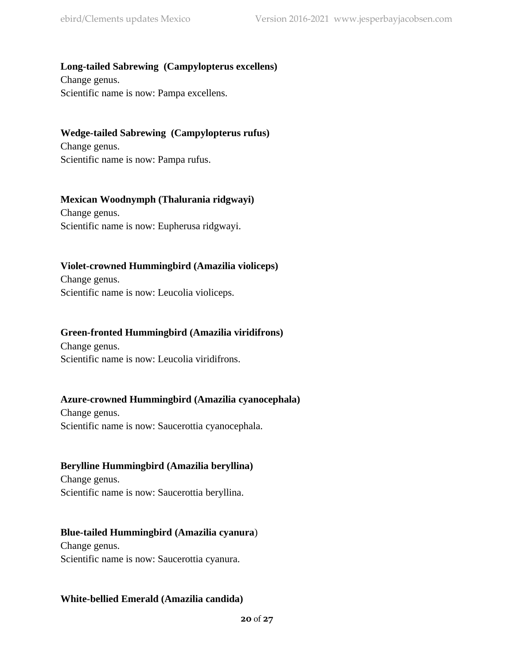## **Long-tailed Sabrewing (Campylopterus excellens)**

Change genus. Scientific name is now: Pampa excellens.

## **Wedge-tailed Sabrewing (Campylopterus rufus)**

Change genus. Scientific name is now: Pampa rufus.

## **Mexican Woodnymph (Thalurania ridgwayi)**

Change genus. Scientific name is now: Eupherusa ridgwayi.

## **Violet-crowned Hummingbird (Amazilia violiceps)**

Change genus. Scientific name is now: Leucolia violiceps.

## **Green-fronted Hummingbird (Amazilia viridifrons)**

Change genus. Scientific name is now: Leucolia viridifrons.

## **Azure-crowned Hummingbird (Amazilia cyanocephala)**

Change genus. Scientific name is now: Saucerottia cyanocephala.

## **Berylline Hummingbird (Amazilia beryllina)**

Change genus. Scientific name is now: Saucerottia beryllina.

## **Blue-tailed Hummingbird (Amazilia cyanura**)

Change genus. Scientific name is now: Saucerottia cyanura.

## **White-bellied Emerald (Amazilia candida)**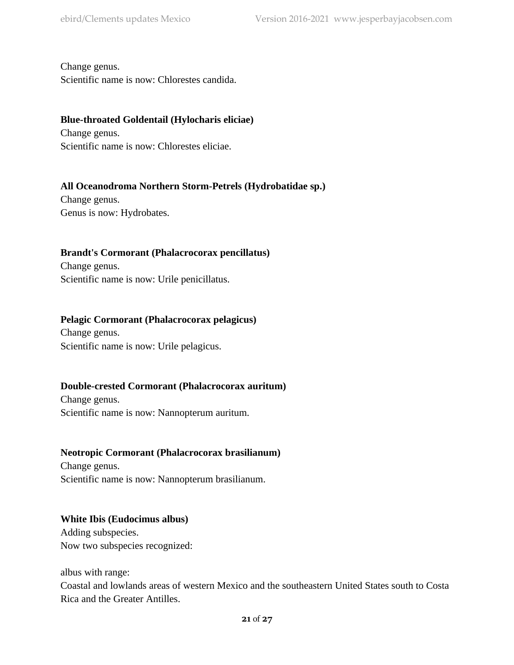Change genus.

Scientific name is now: Chlorestes candida.

## **Blue-throated Goldentail (Hylocharis eliciae)**

Change genus. Scientific name is now: Chlorestes eliciae.

## **All Oceanodroma Northern Storm-Petrels (Hydrobatidae sp.)**

Change genus. Genus is now: Hydrobates.

## **Brandt's Cormorant (Phalacrocorax pencillatus)**

Change genus. Scientific name is now: Urile penicillatus.

## **Pelagic Cormorant (Phalacrocorax pelagicus)**

Change genus. Scientific name is now: Urile pelagicus.

## **Double-crested Cormorant (Phalacrocorax auritum)**

Change genus. Scientific name is now: Nannopterum auritum.

## **Neotropic Cormorant (Phalacrocorax brasilianum)**

Change genus. Scientific name is now: Nannopterum brasilianum.

## **White Ibis (Eudocimus albus)**

Adding subspecies. Now two subspecies recognized:

albus with range:

Coastal and lowlands areas of western Mexico and the southeastern United States south to Costa Rica and the Greater Antilles.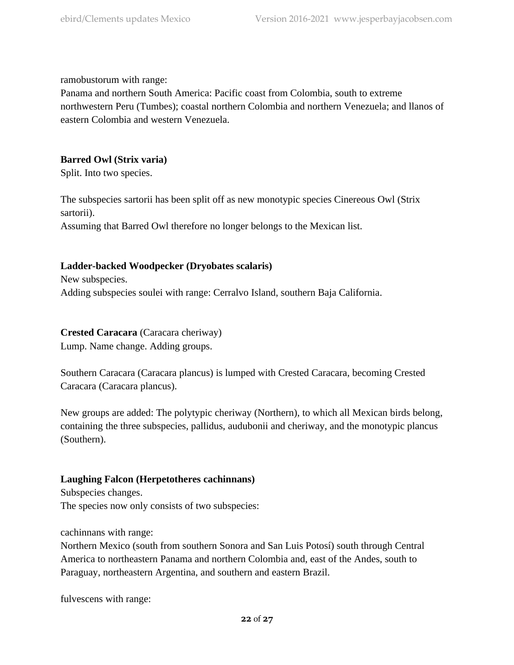ramobustorum with range:

Panama and northern South America: Pacific coast from Colombia, south to extreme northwestern Peru (Tumbes); coastal northern Colombia and northern Venezuela; and llanos of eastern Colombia and western Venezuela.

## **Barred Owl (Strix varia)**

Split. Into two species.

The subspecies sartorii has been split off as new monotypic species Cinereous Owl (Strix sartorii).

Assuming that Barred Owl therefore no longer belongs to the Mexican list.

## **Ladder-backed Woodpecker (Dryobates scalaris)**

New subspecies. Adding subspecies soulei with range: Cerralvo Island, southern Baja California.

## **Crested Caracara** (Caracara cheriway)

Lump. Name change. Adding groups.

Southern Caracara (Caracara plancus) is lumped with Crested Caracara, becoming Crested Caracara (Caracara plancus).

New groups are added: The polytypic cheriway (Northern), to which all Mexican birds belong, containing the three subspecies, pallidus, audubonii and cheriway, and the monotypic plancus (Southern).

## **Laughing Falcon (Herpetotheres cachinnans)**

Subspecies changes. The species now only consists of two subspecies:

## cachinnans with range:

Northern Mexico (south from southern Sonora and San Luis Potosí) south through Central America to northeastern Panama and northern Colombia and, east of the Andes, south to Paraguay, northeastern Argentina, and southern and eastern Brazil.

fulvescens with range: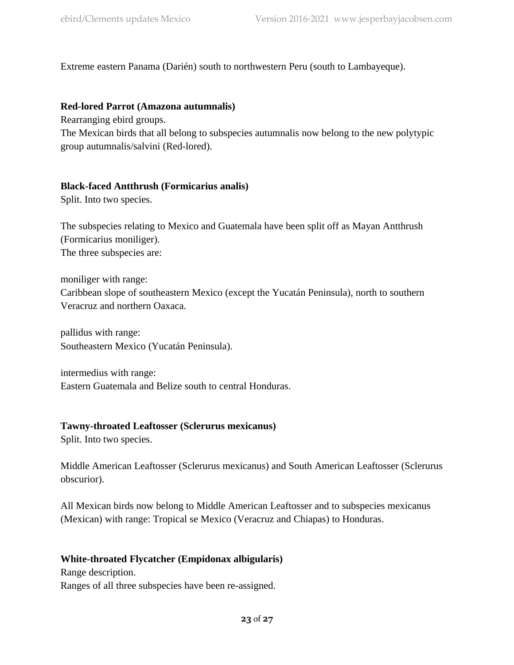Extreme eastern Panama (Darién) south to northwestern Peru (south to Lambayeque).

## **Red-lored Parrot (Amazona autumnalis)**

Rearranging ebird groups.

The Mexican birds that all belong to subspecies autumnalis now belong to the new polytypic group autumnalis/salvini (Red-lored).

## **Black-faced Antthrush (Formicarius analis)**

Split. Into two species.

The subspecies relating to Mexico and Guatemala have been split off as Mayan Antthrush (Formicarius moniliger). The three subspecies are:

moniliger with range: Caribbean slope of southeastern Mexico (except the Yucatán Peninsula), north to southern Veracruz and northern Oaxaca.

pallidus with range: Southeastern Mexico (Yucatán Peninsula).

intermedius with range: Eastern Guatemala and Belize south to central Honduras.

## **Tawny-throated Leaftosser (Sclerurus mexicanus)**

Split. Into two species.

Middle American Leaftosser (Sclerurus mexicanus) and South American Leaftosser (Sclerurus obscurior).

All Mexican birds now belong to Middle American Leaftosser and to subspecies mexicanus (Mexican) with range: Tropical se Mexico (Veracruz and Chiapas) to Honduras.

## **White-throated Flycatcher (Empidonax albigularis)**

Range description. Ranges of all three subspecies have been re-assigned.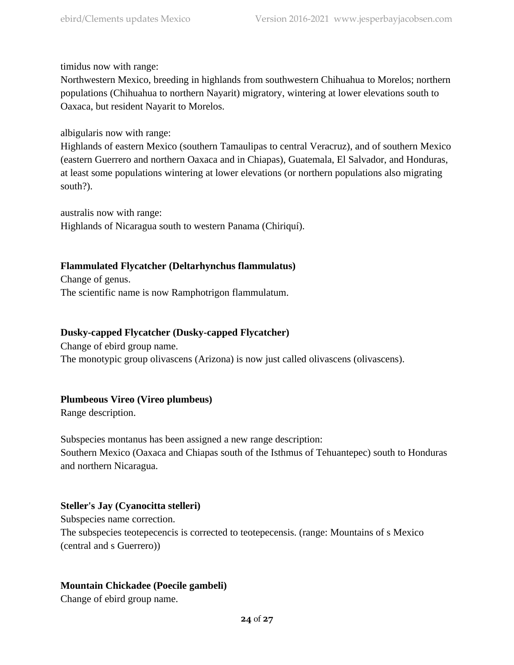timidus now with range:

Northwestern Mexico, breeding in highlands from southwestern Chihuahua to Morelos; northern populations (Chihuahua to northern Nayarit) migratory, wintering at lower elevations south to Oaxaca, but resident Nayarit to Morelos.

albigularis now with range:

Highlands of eastern Mexico (southern Tamaulipas to central Veracruz), and of southern Mexico (eastern Guerrero and northern Oaxaca and in Chiapas), Guatemala, El Salvador, and Honduras, at least some populations wintering at lower elevations (or northern populations also migrating south?).

australis now with range:

Highlands of Nicaragua south to western Panama (Chiriquí).

## **Flammulated Flycatcher (Deltarhynchus flammulatus)**

Change of genus. The scientific name is now Ramphotrigon flammulatum.

## **Dusky-capped Flycatcher (Dusky-capped Flycatcher)**

Change of ebird group name.

The monotypic group olivascens (Arizona) is now just called olivascens (olivascens).

## **Plumbeous Vireo (Vireo plumbeus)**

Range description.

Subspecies montanus has been assigned a new range description: Southern Mexico (Oaxaca and Chiapas south of the Isthmus of Tehuantepec) south to Honduras and northern Nicaragua.

## **Steller's Jay (Cyanocitta stelleri)**

Subspecies name correction. The subspecies teotepecencis is corrected to teotepecensis. (range: Mountains of s Mexico (central and s Guerrero))

## **Mountain Chickadee (Poecile gambeli)**

Change of ebird group name.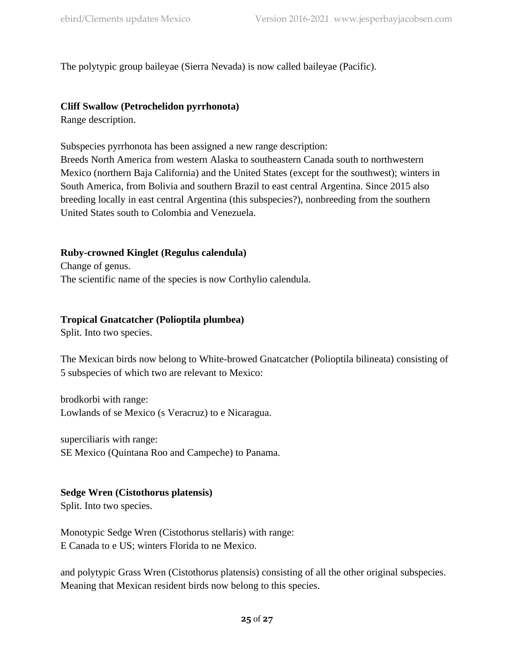The polytypic group baileyae (Sierra Nevada) is now called baileyae (Pacific).

## **Cliff Swallow (Petrochelidon pyrrhonota)**

Range description.

Subspecies pyrrhonota has been assigned a new range description:

Breeds North America from western Alaska to southeastern Canada south to northwestern Mexico (northern Baja California) and the United States (except for the southwest); winters in South America, from Bolivia and southern Brazil to east central Argentina. Since 2015 also breeding locally in east central Argentina (this subspecies?), nonbreeding from the southern United States south to Colombia and Venezuela.

## **Ruby-crowned Kinglet (Regulus calendula)**

Change of genus. The scientific name of the species is now Corthylio calendula.

## **Tropical Gnatcatcher (Polioptila plumbea)**

Split. Into two species.

The Mexican birds now belong to White-browed Gnatcatcher (Polioptila bilineata) consisting of 5 subspecies of which two are relevant to Mexico:

brodkorbi with range: Lowlands of se Mexico (s Veracruz) to e Nicaragua.

superciliaris with range: SE Mexico (Quintana Roo and Campeche) to Panama.

## **Sedge Wren (Cistothorus platensis)**

Split. Into two species.

Monotypic Sedge Wren (Cistothorus stellaris) with range: E Canada to e US; winters Florida to ne Mexico.

and polytypic Grass Wren (Cistothorus platensis) consisting of all the other original subspecies. Meaning that Mexican resident birds now belong to this species.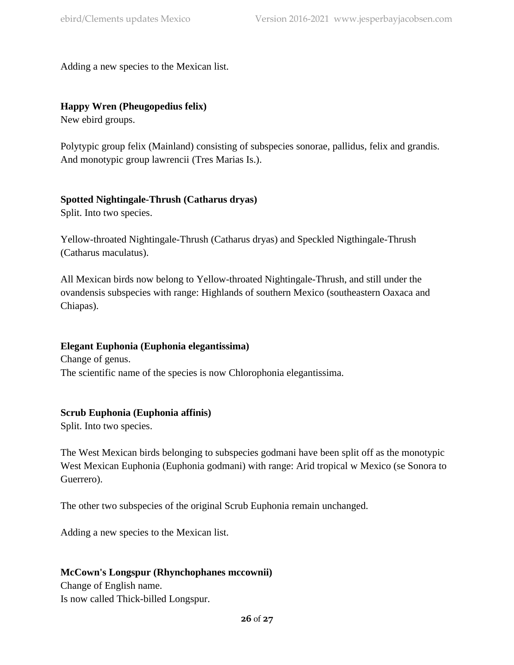Adding a new species to the Mexican list.

## **Happy Wren (Pheugopedius felix)**

New ebird groups.

Polytypic group felix (Mainland) consisting of subspecies sonorae, pallidus, felix and grandis. And monotypic group lawrencii (Tres Marias Is.).

## **Spotted Nightingale-Thrush (Catharus dryas)**

Split. Into two species.

Yellow-throated Nightingale-Thrush (Catharus dryas) and Speckled Nigthingale-Thrush (Catharus maculatus).

All Mexican birds now belong to Yellow-throated Nightingale-Thrush, and still under the ovandensis subspecies with range: Highlands of southern Mexico (southeastern Oaxaca and Chiapas).

## **Elegant Euphonia (Euphonia elegantissima)**

Change of genus. The scientific name of the species is now Chlorophonia elegantissima.

## **Scrub Euphonia (Euphonia affinis)**

Split. Into two species.

The West Mexican birds belonging to subspecies godmani have been split off as the monotypic West Mexican Euphonia (Euphonia godmani) with range: Arid tropical w Mexico (se Sonora to Guerrero).

The other two subspecies of the original Scrub Euphonia remain unchanged.

Adding a new species to the Mexican list.

## **McCown's Longspur (Rhynchophanes mccownii)**

Change of English name. Is now called Thick-billed Longspur.